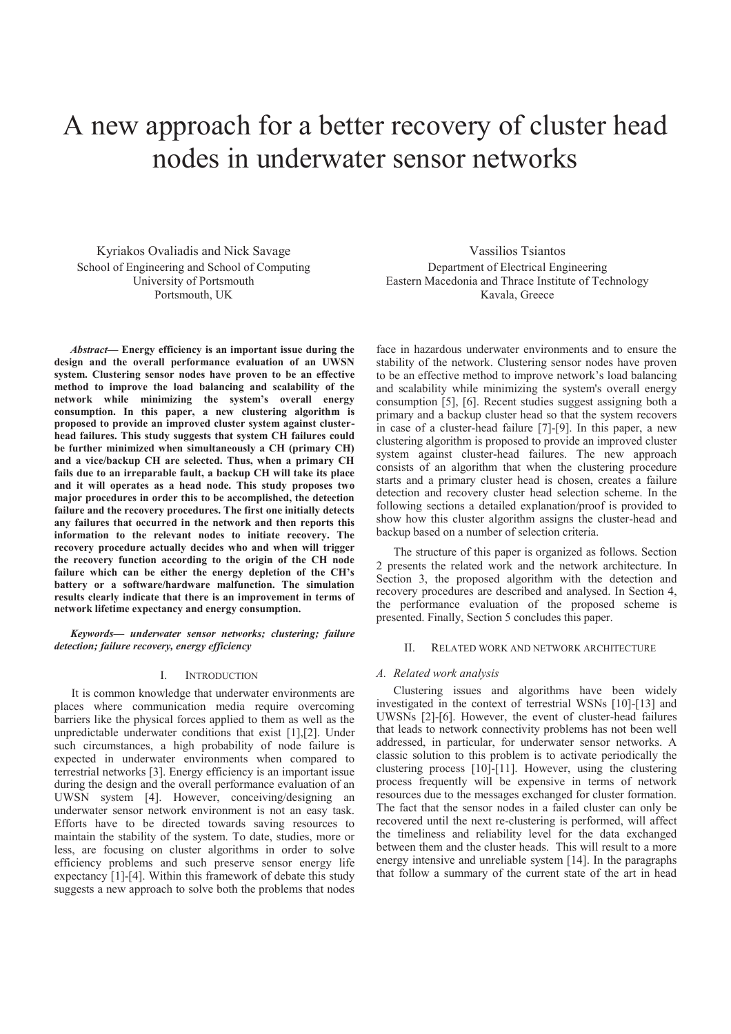# A new approach for a better recovery of cluster head nodes in underwater sensor networks

Kyriakos Ovaliadis and Nick Savage School of Engineering and School of Computing University of Portsmouth Portsmouth, UK

*Abstract***— Energy efficiency is an important issue during the design and the overall performance evaluation of an UWSN system. Clustering sensor nodes have proven to be an effective method to improve the load balancing and scalability of the network while minimizing the system's overall energy consumption. In this paper, a new clustering algorithm is proposed to provide an improved cluster system against clusterhead failures. This study suggests that system CH failures could be further minimized when simultaneously a CH (primary CH) and a vice/backup CH are selected. Thus, when a primary CH fails due to an irreparable fault, a backup CH will take its place and it will operates as a head node. This study proposes two major procedures in order this to be accomplished, the detection failure and the recovery procedures. The first one initially detects any failures that occurred in the network and then reports this information to the relevant nodes to initiate recovery. The recovery procedure actually decides who and when will trigger the recovery function according to the origin of the CH node failure which can be either the energy depletion of the CH's battery or a software/hardware malfunction. The simulation results clearly indicate that there is an improvement in terms of network lifetime expectancy and energy consumption.** 

*Keywords— underwater sensor networks; clustering; failure detection; failure recovery, energy efficiency* 

#### I. INTRODUCTION

It is common knowledge that underwater environments are places where communication media require overcoming barriers like the physical forces applied to them as well as the unpredictable underwater conditions that exist [1],[2]. Under such circumstances, a high probability of node failure is expected in underwater environments when compared to terrestrial networks [3]. Energy efficiency is an important issue during the design and the overall performance evaluation of an UWSN system [4]. However, conceiving/designing an underwater sensor network environment is not an easy task. Efforts have to be directed towards saving resources to maintain the stability of the system. To date, studies, more or less, are focusing on cluster algorithms in order to solve efficiency problems and such preserve sensor energy life expectancy [1]-[4]. Within this framework of debate this study suggests a new approach to solve both the problems that nodes

Vassilios Tsiantos Department of Electrical Engineering Eastern Macedonia and Thrace Institute of Technology Kavala, Greece

face in hazardous underwater environments and to ensure the stability of the network. Clustering sensor nodes have proven to be an effective method to improve network's load balancing and scalability while minimizing the system's overall energy consumption [5], [6]. Recent studies suggest assigning both a primary and a backup cluster head so that the system recovers in case of a cluster-head failure [7]-[9]. In this paper, a new clustering algorithm is proposed to provide an improved cluster system against cluster-head failures. The new approach consists of an algorithm that when the clustering procedure starts and a primary cluster head is chosen, creates a failure detection and recovery cluster head selection scheme. In the following sections a detailed explanation/proof is provided to show how this cluster algorithm assigns the cluster-head and backup based on a number of selection criteria.

The structure of this paper is organized as follows. Section 2 presents the related work and the network architecture. In Section 3, the proposed algorithm with the detection and recovery procedures are described and analysed. In Section 4, the performance evaluation of the proposed scheme is presented. Finally, Section 5 concludes this paper.

### II. RELATED WORK AND NETWORK ARCHITECTURE

#### *A. Related work analysis*

Clustering issues and algorithms have been widely investigated in the context of terrestrial WSNs [10]-[13] and UWSNs [2]-[6]. However, the event of cluster-head failures that leads to network connectivity problems has not been well addressed, in particular, for underwater sensor networks. A classic solution to this problem is to activate periodically the clustering process [10]-[11]. However, using the clustering process frequently will be expensive in terms of network resources due to the messages exchanged for cluster formation. The fact that the sensor nodes in a failed cluster can only be recovered until the next re-clustering is performed, will affect the timeliness and reliability level for the data exchanged between them and the cluster heads. This will result to a more energy intensive and unreliable system [14]. In the paragraphs that follow a summary of the current state of the art in head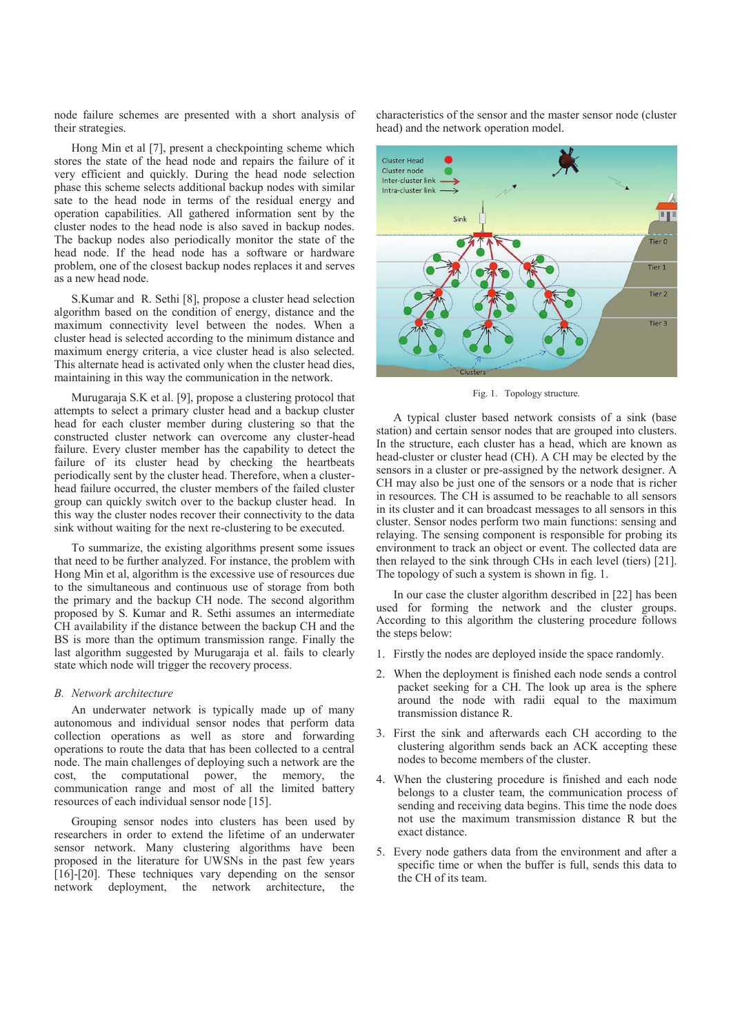node failure schemes are presented with a short analysis of their strategies.

Hong Min et al [7], present a checkpointing scheme which stores the state of the head node and repairs the failure of it very efficient and quickly. During the head node selection phase this scheme selects additional backup nodes with similar sate to the head node in terms of the residual energy and operation capabilities. All gathered information sent by the cluster nodes to the head node is also saved in backup nodes. The backup nodes also periodically monitor the state of the head node. If the head node has a software or hardware problem, one of the closest backup nodes replaces it and serves as a new head node.

S.Kumar and R. Sethi [8], propose a cluster head selection algorithm based on the condition of energy, distance and the maximum connectivity level between the nodes. When a cluster head is selected according to the minimum distance and maximum energy criteria, a vice cluster head is also selected. This alternate head is activated only when the cluster head dies, maintaining in this way the communication in the network.

Murugaraja S.K et al. [9], propose a clustering protocol that attempts to select a primary cluster head and a backup cluster head for each cluster member during clustering so that the constructed cluster network can overcome any cluster-head failure. Every cluster member has the capability to detect the failure of its cluster head by checking the heartbeats periodically sent by the cluster head. Therefore, when a clusterhead failure occurred, the cluster members of the failed cluster group can quickly switch over to the backup cluster head. In this way the cluster nodes recover their connectivity to the data sink without waiting for the next re-clustering to be executed.

To summarize, the existing algorithms present some issues that need to be further analyzed. For instance, the problem with Hong Min et al, algorithm is the excessive use of resources due to the simultaneous and continuous use of storage from both the primary and the backup CH node. The second algorithm proposed by S. Kumar and R. Sethi assumes an intermediate CH availability if the distance between the backup CH and the BS is more than the optimum transmission range. Finally the last algorithm suggested by Murugaraja et al. fails to clearly state which node will trigger the recovery process.

# *B. Network architecture*

An underwater network is typically made up of many autonomous and individual sensor nodes that perform data collection operations as well as store and forwarding operations to route the data that has been collected to a central node. The main challenges of deploying such a network are the cost, the computational power, the memory, the communication range and most of all the limited battery resources of each individual sensor node [15].

Grouping sensor nodes into clusters has been used by researchers in order to extend the lifetime of an underwater sensor network. Many clustering algorithms have been proposed in the literature for UWSNs in the past few years [16]-[20]. These techniques vary depending on the sensor network deployment, the network architecture, the characteristics of the sensor and the master sensor node (cluster head) and the network operation model.



Fig. 1. Topology structure.

A typical cluster based network consists of a sink (base station) and certain sensor nodes that are grouped into clusters. In the structure, each cluster has a head, which are known as head-cluster or cluster head (CH). A CH may be elected by the sensors in a cluster or pre-assigned by the network designer. A CH may also be just one of the sensors or a node that is richer in resources. The CH is assumed to be reachable to all sensors in its cluster and it can broadcast messages to all sensors in this cluster. Sensor nodes perform two main functions: sensing and relaying. The sensing component is responsible for probing its environment to track an object or event. The collected data are then relayed to the sink through CHs in each level (tiers) [21]. The topology of such a system is shown in fig. 1.

In our case the cluster algorithm described in [22] has been used for forming the network and the cluster groups. According to this algorithm the clustering procedure follows the steps below:

- 1. Firstly the nodes are deployed inside the space randomly.
- 2. When the deployment is finished each node sends a control packet seeking for a CH. The look up area is the sphere around the node with radii equal to the maximum transmission distance R.
- 3. First the sink and afterwards each CH according to the clustering algorithm sends back an ACK accepting these nodes to become members of the cluster.
- 4. When the clustering procedure is finished and each node belongs to a cluster team, the communication process of sending and receiving data begins. This time the node does not use the maximum transmission distance R but the exact distance.
- 5. Every node gathers data from the environment and after a specific time or when the buffer is full, sends this data to the CH of its team.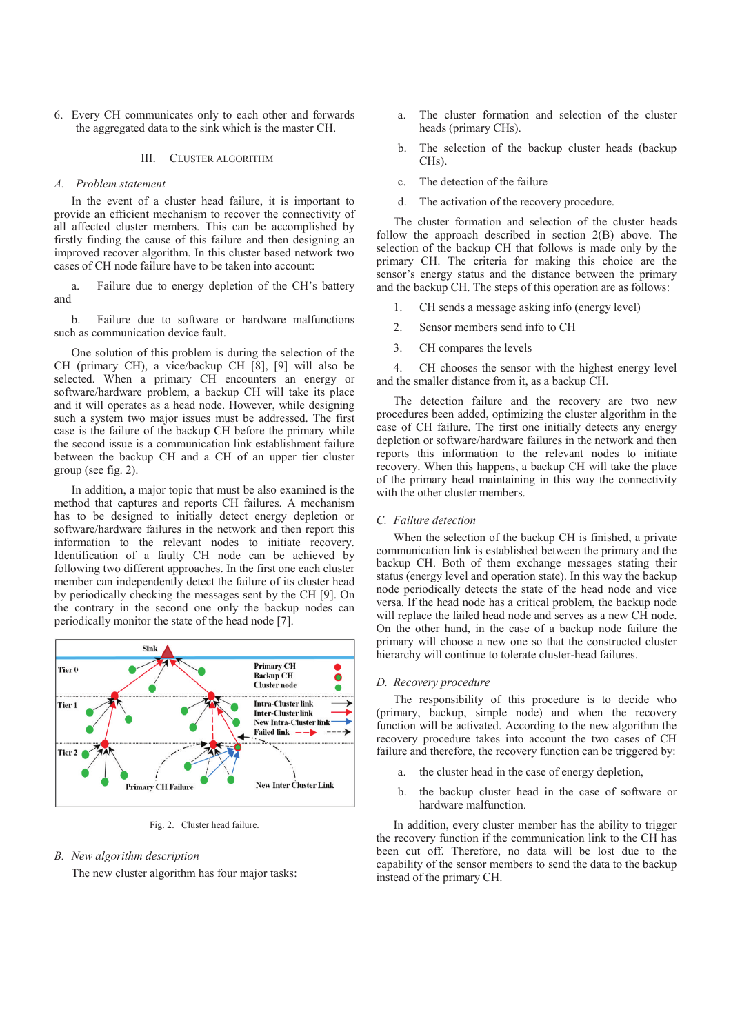6. Every CH communicates only to each other and forwards the aggregated data to the sink which is the master CH.

## III. CLUSTER ALGORITHM

# *A. Problem statement*

In the event of a cluster head failure, it is important to provide an efficient mechanism to recover the connectivity of all affected cluster members. This can be accomplished by firstly finding the cause of this failure and then designing an improved recover algorithm. In this cluster based network two cases of CH node failure have to be taken into account:

a. Failure due to energy depletion of the CH's battery and

b. Failure due to software or hardware malfunctions such as communication device fault

One solution of this problem is during the selection of the CH (primary CH), a vice/backup CH [8], [9] will also be selected. When a primary CH encounters an energy or software/hardware problem, a backup CH will take its place and it will operates as a head node. However, while designing such a system two major issues must be addressed. The first case is the failure of the backup CH before the primary while the second issue is a communication link establishment failure between the backup CH and a CH of an upper tier cluster group (see fig. 2).

In addition, a major topic that must be also examined is the method that captures and reports CH failures. A mechanism has to be designed to initially detect energy depletion or software/hardware failures in the network and then report this information to the relevant nodes to initiate recovery. Identification of a faulty CH node can be achieved by following two different approaches. In the first one each cluster member can independently detect the failure of its cluster head by periodically checking the messages sent by the CH [9]. On the contrary in the second one only the backup nodes can periodically monitor the state of the head node [7].



Fig. 2. Cluster head failure.

# *B. New algorithm description*

The new cluster algorithm has four major tasks:

- a. The cluster formation and selection of the cluster heads (primary CHs).
- b. The selection of the backup cluster heads (backup CHs).
- c. The detection of the failure
- d. The activation of the recovery procedure.

The cluster formation and selection of the cluster heads follow the approach described in section 2(B) above. The selection of the backup CH that follows is made only by the primary CH. The criteria for making this choice are the sensor's energy status and the distance between the primary and the backup CH. The steps of this operation are as follows:

- 1. CH sends a message asking info (energy level)
- 2. Sensor members send info to CH
- 3. CH compares the levels

4. CH chooses the sensor with the highest energy level and the smaller distance from it, as a backup CH.

The detection failure and the recovery are two new procedures been added, optimizing the cluster algorithm in the case of CH failure. The first one initially detects any energy depletion or software/hardware failures in the network and then reports this information to the relevant nodes to initiate recovery. When this happens, a backup CH will take the place of the primary head maintaining in this way the connectivity with the other cluster members.

## *C. Failure detection*

When the selection of the backup CH is finished, a private communication link is established between the primary and the backup CH. Both of them exchange messages stating their status (energy level and operation state). In this way the backup node periodically detects the state of the head node and vice versa. If the head node has a critical problem, the backup node will replace the failed head node and serves as a new CH node. On the other hand, in the case of a backup node failure the primary will choose a new one so that the constructed cluster hierarchy will continue to tolerate cluster-head failures.

## *D. Recovery procedure*

The responsibility of this procedure is to decide who (primary, backup, simple node) and when the recovery function will be activated. According to the new algorithm the recovery procedure takes into account the two cases of CH failure and therefore, the recovery function can be triggered by:

- the cluster head in the case of energy depletion,
- b. the backup cluster head in the case of software or hardware malfunction.

In addition, every cluster member has the ability to trigger the recovery function if the communication link to the CH has been cut off. Therefore, no data will be lost due to the capability of the sensor members to send the data to the backup instead of the primary CH.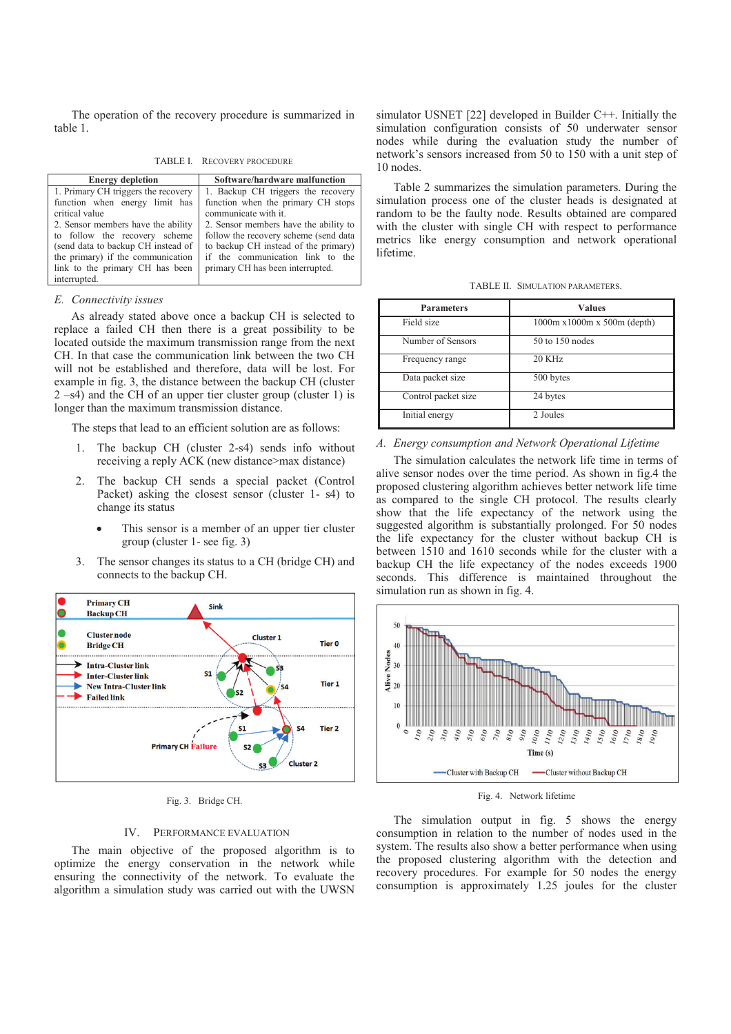The operation of the recovery procedure is summarized in table 1.

TABLE I. RECOVERY PROCEDURE

| <b>Energy depletion</b>             | Software/hardware malfunction         |
|-------------------------------------|---------------------------------------|
| 1. Primary CH triggers the recovery | 1. Backup CH triggers the recovery    |
| function when energy limit has      | function when the primary CH stops    |
| critical value                      | communicate with it.                  |
| 2. Sensor members have the ability  | 2. Sensor members have the ability to |
| to follow the recovery scheme       | follow the recovery scheme (send data |
| (send data to backup CH instead of  | to backup CH instead of the primary)  |
| the primary) if the communication   | if the communication link to the      |
| link to the primary CH has been     | primary CH has been interrupted.      |
| interrupted.                        |                                       |

#### *E. Connectivity issues*

As already stated above once a backup CH is selected to replace a failed CH then there is a great possibility to be located outside the maximum transmission range from the next CH. In that case the communication link between the two CH will not be established and therefore, data will be lost. For example in fig. 3, the distance between the backup CH (cluster 2 –s4) and the CH of an upper tier cluster group (cluster 1) is longer than the maximum transmission distance.

The steps that lead to an efficient solution are as follows:

- 1. The backup CH (cluster 2-s4) sends info without receiving a reply ACK (new distance>max distance)
- 2. The backup CH sends a special packet (Control Packet) asking the closest sensor (cluster 1- s4) to change its status
	- This sensor is a member of an upper tier cluster group (cluster 1- see fig. 3)
- 3. The sensor changes its status to a CH (bridge CH) and connects to the backup CH.



Fig. 3. Bridge CH.

#### IV. PERFORMANCE EVALUATION

The main objective of the proposed algorithm is to optimize the energy conservation in the network while ensuring the connectivity of the network. To evaluate the algorithm a simulation study was carried out with the UWSN simulator USNET [22] developed in Builder C++. Initially the simulation configuration consists of 50 underwater sensor nodes while during the evaluation study the number of network's sensors increased from 50 to 150 with a unit step of 10 nodes.

Table 2 summarizes the simulation parameters. During the simulation process one of the cluster heads is designated at random to be the faulty node. Results obtained are compared with the cluster with single CH with respect to performance metrics like energy consumption and network operational lifetime.

|  | TABLE II. SIMULATION PARAMETERS. |
|--|----------------------------------|
|--|----------------------------------|

| <b>Parameters</b>   | <b>Values</b>                  |
|---------------------|--------------------------------|
| Field size          | $1000m x 1000m x 500m$ (depth) |
| Number of Sensors   | 50 to 150 nodes                |
| Frequency range     | $20$ KHz                       |
| Data packet size    | 500 bytes                      |
| Control packet size | 24 bytes                       |
| Initial energy      | 2 Joules                       |

#### *A. Energy consumption and Network Operational Lifetime*

The simulation calculates the network life time in terms of alive sensor nodes over the time period. As shown in fig.4 the proposed clustering algorithm achieves better network life time as compared to the single CH protocol. The results clearly show that the life expectancy of the network using the suggested algorithm is substantially prolonged. For 50 nodes the life expectancy for the cluster without backup CH is between 1510 and 1610 seconds while for the cluster with a backup CH the life expectancy of the nodes exceeds 1900 seconds. This difference is maintained throughout the simulation run as shown in fig. 4.



Fig. 4. Network lifetime

The simulation output in fig. 5 shows the energy consumption in relation to the number of nodes used in the system. The results also show a better performance when using the proposed clustering algorithm with the detection and recovery procedures. For example for 50 nodes the energy consumption is approximately 1.25 joules for the cluster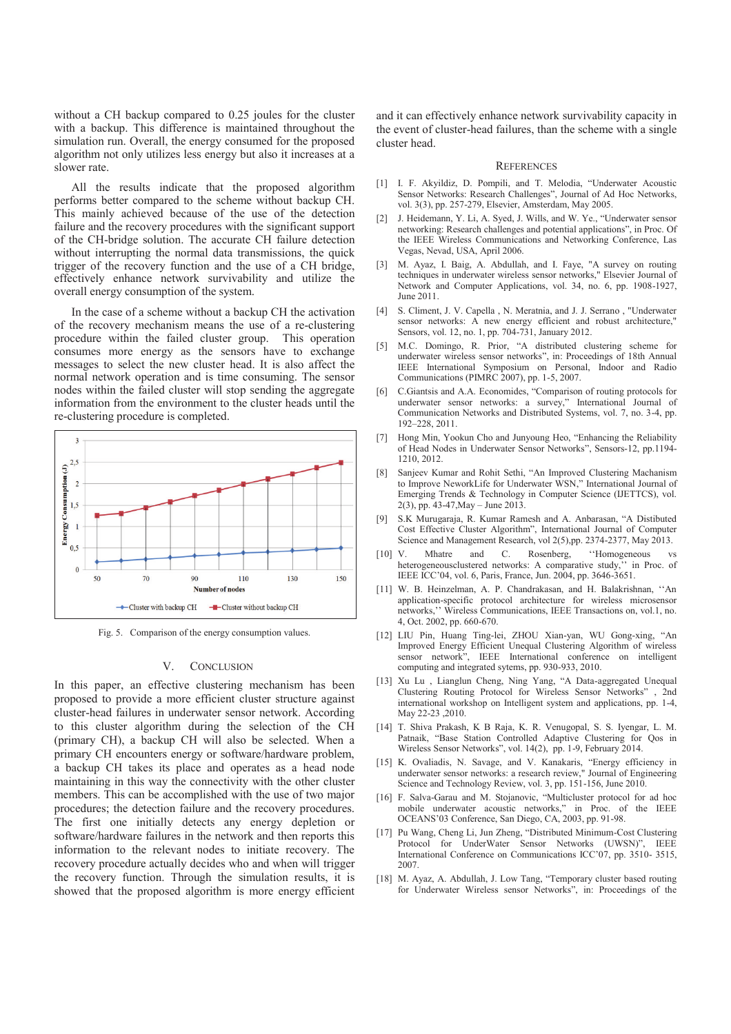without a CH backup compared to 0.25 joules for the cluster with a backup. This difference is maintained throughout the simulation run. Overall, the energy consumed for the proposed algorithm not only utilizes less energy but also it increases at a slower rate.

All the results indicate that the proposed algorithm performs better compared to the scheme without backup CH. This mainly achieved because of the use of the detection failure and the recovery procedures with the significant support of the CH-bridge solution. The accurate CH failure detection without interrupting the normal data transmissions, the quick trigger of the recovery function and the use of a CH bridge, effectively enhance network survivability and utilize the overall energy consumption of the system.

In the case of a scheme without a backup CH the activation of the recovery mechanism means the use of a re-clustering procedure within the failed cluster group. This operation consumes more energy as the sensors have to exchange messages to select the new cluster head. It is also affect the normal network operation and is time consuming. The sensor nodes within the failed cluster will stop sending the aggregate information from the environment to the cluster heads until the re-clustering procedure is completed.



Fig. 5. Comparison of the energy consumption values.

# V. CONCLUSION

In this paper, an effective clustering mechanism has been proposed to provide a more efficient cluster structure against cluster-head failures in underwater sensor network. According to this cluster algorithm during the selection of the CH (primary CH), a backup CH will also be selected. When a primary CH encounters energy or software/hardware problem, a backup CH takes its place and operates as a head node maintaining in this way the connectivity with the other cluster members. This can be accomplished with the use of two major procedures; the detection failure and the recovery procedures. The first one initially detects any energy depletion or software/hardware failures in the network and then reports this information to the relevant nodes to initiate recovery. The recovery procedure actually decides who and when will trigger the recovery function. Through the simulation results, it is showed that the proposed algorithm is more energy efficient and it can effectively enhance network survivability capacity in the event of cluster-head failures, than the scheme with a single cluster head.

#### **REFERENCES**

- [1] I. F. Akyildiz, D. Pompili, and T. Melodia, "Underwater Acoustic Sensor Networks: Research Challenges", Journal of Ad Hoc Networks, vol. 3(3), pp. 257-279, Elsevier, Amsterdam, May 2005.
- [2] J. Heidemann, Y. Li, A. Syed, J. Wills, and W. Ye., "Underwater sensor networking: Research challenges and potential applications", in Proc. Of the IEEE Wireless Communications and Networking Conference, Las Vegas, Nevad, USA, April 2006.
- [3] M. Ayaz, I. Baig, A. Abdullah, and I. Faye, "A survey on routing techniques in underwater wireless sensor networks," Elsevier Journal of Network and Computer Applications, vol. 34, no. 6, pp. 1908-1927, June 2011.
- [4] S. Climent, J. V. Capella , N. Meratnia, and J. J. Serrano , "Underwater sensor networks: A new energy efficient and robust architecture, Sensors, vol. 12, no. 1, pp. 704-731, January 2012.
- [5] M.C. Domingo, R. Prior, "A distributed clustering scheme for underwater wireless sensor networks", in: Proceedings of 18th Annual IEEE International Symposium on Personal, Indoor and Radio Communications (PIMRC 2007), pp. 1-5, 2007.
- [6] C.Giantsis and A.A. Economides, "Comparison of routing protocols for underwater sensor networks: a survey," International Journal of Communication Networks and Distributed Systems, vol. 7, no. 3-4, pp. 192–228, 2011.
- [7] Hong Min, Yookun Cho and Junyoung Heo, "Enhancing the Reliability of Head Nodes in Underwater Sensor Networks", Sensors-12, pp.1194- 1210, 2012.
- [8] Sanjeev Kumar and Rohit Sethi, "An Improved Clustering Machanism to Improve NeworkLife for Underwater WSN," International Journal of Emerging Trends & Technology in Computer Science (IJETTCS), vol. 2(3), pp. 43-47,May – June 2013.
- [9] S.K Murugaraja, R. Kumar Ramesh and A. Anbarasan, "A Distibuted Cost Effective Cluster Algorithm", International Journal of Computer Science and Management Research, vol 2(5),pp. 2374-2377, May 2013.
- [10] V. Mhatre and C. Rosenberg, "Homogeneous vs heterogeneousclustered networks: A comparative study,'' in Proc. of IEEE ICC'04, vol. 6, Paris, France, Jun. 2004, pp. 3646-3651.
- [11] W. B. Heinzelman, A. P. Chandrakasan, and H. Balakrishnan, ''An application-specific protocol architecture for wireless microsensor networks,'' Wireless Communications, IEEE Transactions on, vol.1, no. 4, Oct. 2002, pp. 660-670.
- [12] LIU Pin, Huang Ting-lei, ZHOU Xian-yan, WU Gong-xing, "An Improved Energy Efficient Unequal Clustering Algorithm of wireless sensor network", IEEE International conference on intelligent computing and integrated sytems, pp. 930-933, 2010.
- [13] Xu Lu, Lianglun Cheng, Ning Yang, "A Data-aggregated Unequal Clustering Routing Protocol for Wireless Sensor Networks" , 2nd international workshop on Intelligent system and applications, pp. 1-4, May 22-23 ,2010.
- [14] T. Shiva Prakash, K B Raja, K. R. Venugopal, S. S. Iyengar, L. M. Patnaik, "Base Station Controlled Adaptive Clustering for Qos in Wireless Sensor Networks", vol. 14(2), pp. 1-9, February 2014.
- [15] K. Ovaliadis, N. Savage, and V. Kanakaris, "Energy efficiency in underwater sensor networks: a research review," Journal of Engineering Science and Technology Review, vol. 3, pp. 151-156, June 2010.
- [16] F. Salva-Garau and M. Stojanovic, "Multicluster protocol for ad hoc mobile underwater acoustic networks," in Proc. of the IEEE OCEANS'03 Conference, San Diego, CA, 2003, pp. 91-98.
- [17] Pu Wang, Cheng Li, Jun Zheng, "Distributed Minimum-Cost Clustering Protocol for UnderWater Sensor Networks (UWSN)", IEEE International Conference on Communications ICC'07, pp. 3510- 3515, 2007.
- [18] M. Ayaz, A. Abdullah, J. Low Tang, "Temporary cluster based routing for Underwater Wireless sensor Networks", in: Proceedings of the